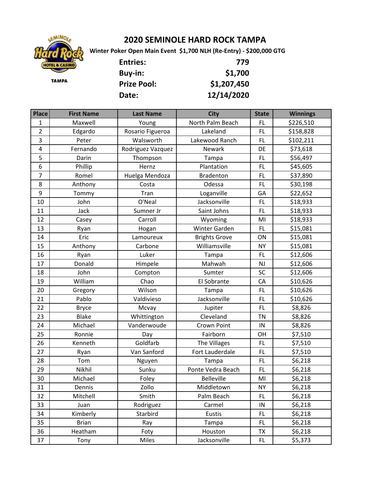

## **2020 SEMINOLE HARD ROCK TAMPA**

 **Winter Poker Open Main Event \$1,700 NLH (Re-Entry) - \$200,000 GTG**

| <b>Entries:</b>    | 779         |
|--------------------|-------------|
| <b>Buy-in:</b>     | \$1,700     |
| <b>Prize Pool:</b> | \$1,207,450 |
| Date:              | 12/14/2020  |

| <b>Place</b>   | <b>First Name</b> | <b>Last Name</b>  | <b>City</b>          | <b>State</b> | <b>Winnings</b> |
|----------------|-------------------|-------------------|----------------------|--------------|-----------------|
| 1              | Maxwell           | Young             | North Palm Beach     | FL           | \$226,510       |
| $\overline{2}$ | Edgardo           | Rosario Figueroa  | Lakeland             | FL.          | \$158,828       |
| 3              | Peter             | Walsworth         | Lakewood Ranch       | FL.          | \$102,211       |
| $\overline{4}$ | Fernando          | Rodriguez Vazquez | Newark               | DE           | \$73,618        |
| 5              | Darin             | Thompson          | Tampa                | <b>FL</b>    | \$56,497        |
| 6              | Phillip           | Hernz             | Plantation           | FL           | \$45,605        |
| $\overline{7}$ | Romel             | Huelga Mendoza    | <b>Bradenton</b>     | FL           | \$37,890        |
| 8              | Anthony           | Costa             | Odessa               | FL           | \$30,198        |
| 9              | Tommy             | Tran              | Loganville           | GA           | \$22,652        |
| 10             | John              | O'Neal            | Jacksonville         | FL           | \$18,933        |
| 11             | Jack              | Sumner Jr         | Saint Johns          | FL           | \$18,933        |
| 12             | Casey             | Carroll           | Wyoming              | MI           | \$18,933        |
| 13             | Ryan              | Hogan             | Winter Garden        | FL.          | \$15,081        |
| 14             | Eric              | Lamoureux         | <b>Brights Grove</b> | ON           | \$15,081        |
| 15             | Anthony           | Carbone           | Williamsville        | <b>NY</b>    | \$15,081        |
| 16             | Ryan              | Luker             | Tampa                | FL           | \$12,606        |
| 17             | Donald            | Himpele           | Mahwah               | <b>NJ</b>    | \$12,606        |
| 18             | John              | Compton           | Sumter               | SC           | \$12,606        |
| 19             | William           | Chao              | El Sobrante          | CA           | \$10,626        |
| 20             | Gregory           | Wilson            | Tampa                | FL           | \$10,626        |
| 21             | Pablo             | Valdivieso        | Jacksonville         | FL.          | \$10,626        |
| 22             | <b>Bryce</b>      | Mcvay             | Jupiter              | FL           | \$8,826         |
| 23             | <b>Blake</b>      | Whittington       | Cleveland            | <b>TN</b>    | \$8,826         |
| 24             | Michael           | Vanderwoude       | Crown Point          | IN           | \$8,826         |
| 25             | Ronnie            | Day               | Fairborn             | OH           | \$7,510         |
| 26             | Kenneth           | Goldfarb          | The Villages         | FL           | \$7,510         |
| 27             | Ryan              | Van Sanford       | Fort Lauderdale      | FL           | \$7,510         |
| 28             | Tom               | Nguyen            | Tampa                | FL           | \$6,218         |
| 29             | Nikhil            | Sunku             | Ponte Vedra Beach    | FL           | \$6,218         |
| 30             | Michael           | Foley             | Belleville           | MI           | \$6,218         |
| 31             | Dennis            | Zollo             | Middletown           | <b>NY</b>    | \$6,218         |
| 32             | Mitchell          | Smith             | Palm Beach           | FL.          | \$6,218         |
| 33             | Juan              | Rodriguez         | Carmel               | IN           | \$6,218         |
| 34             | Kimberly          | Starbird          | Eustis               | FL.          | \$6,218         |
| 35             | <b>Brian</b>      | Ray               | Tampa                | <b>FL</b>    | \$6,218         |
| 36             | Heatham           | Foty              | Houston              | TX           | \$6,218         |
| 37             | Tony              | Miles             | Jacksonville         | <b>FL</b>    | \$5,373         |